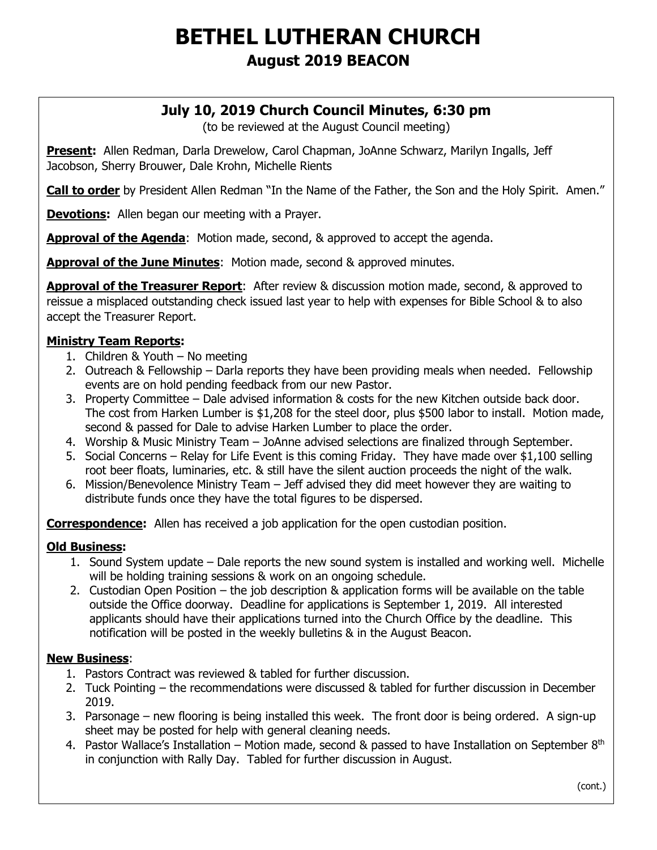# **BETHEL LUTHERAN CHURCH August 2019 BEACON**

## **July 10, 2019 Church Council Minutes, 6:30 pm**

(to be reviewed at the August Council meeting)

**Present:** Allen Redman, Darla Drewelow, Carol Chapman, JoAnne Schwarz, Marilyn Ingalls, Jeff Jacobson, Sherry Brouwer, Dale Krohn, Michelle Rients

**Call to order** by President Allen Redman "In the Name of the Father, the Son and the Holy Spirit. Amen."

**Devotions:** Allen began our meeting with a Prayer.

**Approval of the Agenda**: Motion made, second, & approved to accept the agenda.

**Approval of the June Minutes**: Motion made, second & approved minutes.

**Approval of the Treasurer Report**: After review & discussion motion made, second, & approved to reissue a misplaced outstanding check issued last year to help with expenses for Bible School & to also accept the Treasurer Report.

#### **Ministry Team Reports:**

- 1. Children & Youth No meeting
- 2. Outreach & Fellowship Darla reports they have been providing meals when needed. Fellowship events are on hold pending feedback from our new Pastor.
- 3. Property Committee Dale advised information & costs for the new Kitchen outside back door. The cost from Harken Lumber is \$1,208 for the steel door, plus \$500 labor to install. Motion made, second & passed for Dale to advise Harken Lumber to place the order.
- 4. Worship & Music Ministry Team JoAnne advised selections are finalized through September.
- 5. Social Concerns Relay for Life Event is this coming Friday. They have made over \$1,100 selling root beer floats, luminaries, etc. & still have the silent auction proceeds the night of the walk.
- 6. Mission/Benevolence Ministry Team Jeff advised they did meet however they are waiting to distribute funds once they have the total figures to be dispersed.

**Correspondence:** Allen has received a job application for the open custodian position.

#### **Old Business:**

- 1. Sound System update Dale reports the new sound system is installed and working well. Michelle will be holding training sessions & work on an ongoing schedule.
- 2. Custodian Open Position the job description & application forms will be available on the table outside the Office doorway. Deadline for applications is September 1, 2019. All interested applicants should have their applications turned into the Church Office by the deadline. This notification will be posted in the weekly bulletins & in the August Beacon.

#### **New Business**:

 $\overline{a}$ 

- 1. Pastors Contract was reviewed & tabled for further discussion.
- 2. Tuck Pointing the recommendations were discussed & tabled for further discussion in December 2019.
- 3. Parsonage new flooring is being installed this week. The front door is being ordered. A sign-up sheet may be posted for help with general cleaning needs.
- 4. Pastor Wallace's Installation Motion made, second & passed to have Installation on September  $8<sup>th</sup>$ in conjunction with Rally Day. Tabled for further discussion in August.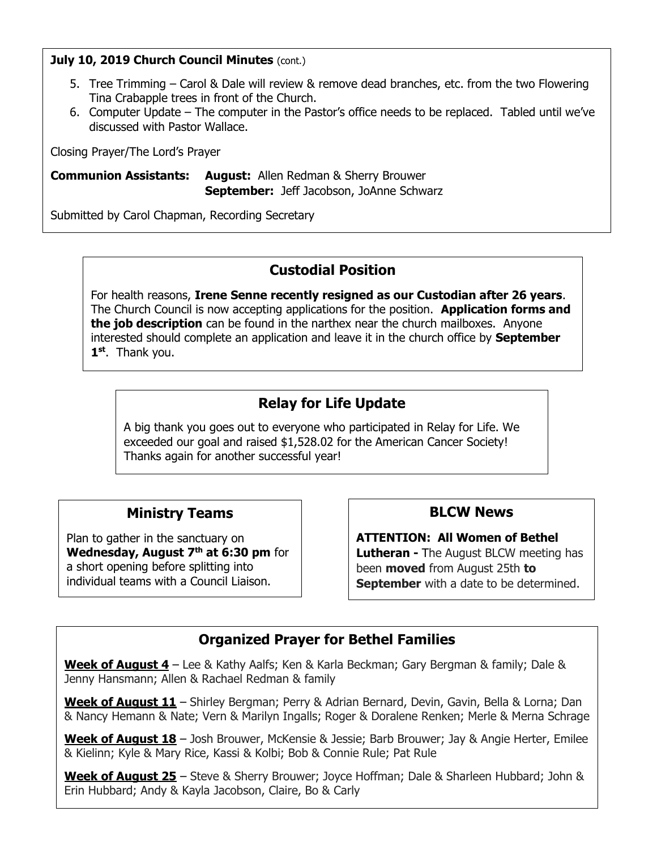#### **July 10, 2019 Church Council Minutes (cont.)**

- 5. Tree Trimming Carol & Dale will review & remove dead branches, etc. from the two Flowering Tina Crabapple trees in front of the Church.
- 6. Computer Update The computer in the Pastor's office needs to be replaced. Tabled until we've discussed with Pastor Wallace.

Closing Prayer/The Lord's Prayer

**Communion Assistants: August:** Allen Redman & Sherry Brouwer **September:** Jeff Jacobson, JoAnne Schwarz

Submitted by Carol Chapman, Recording Secretary

## **Custodial Position**

For health reasons, **Irene Senne recently resigned as our Custodian after 26 years**. The Church Council is now accepting applications for the position. **Application forms and the job description** can be found in the narthex near the church mailboxes. Anyone interested should complete an application and leave it in the church office by **September 1 st** . Thank you.

## **Relay for Life Update**

A big thank you goes out to everyone who participated in Relay for Life. We exceeded our goal and raised \$1,528.02 for the American Cancer Society! Thanks again for another successful year!

### **Ministry Teams**

Plan to gather in the sanctuary on **Wednesday, August 7 th at 6:30 pm** for a short opening before splitting into individual teams with a Council Liaison.

## **BLCW News**

**ATTENTION: All Women of Bethel Lutheran -** The August BLCW meeting has been **moved** from August 25th **to September** with a date to be determined.

## **Organized Prayer for Bethel Families**

**Week of August 4** – Lee & Kathy Aalfs; Ken & Karla Beckman; Gary Bergman & family; Dale & Jenny Hansmann; Allen & Rachael Redman & family

**Week of August 11** – Shirley Bergman; Perry & Adrian Bernard, Devin, Gavin, Bella & Lorna; Dan & Nancy Hemann & Nate; Vern & Marilyn Ingalls; Roger & Doralene Renken; Merle & Merna Schrage

**Week of August 18** – Josh Brouwer, McKensie & Jessie; Barb Brouwer; Jay & Angie Herter, Emilee & Kielinn; Kyle & Mary Rice, Kassi & Kolbi; Bob & Connie Rule; Pat Rule

**Week of August 25** – Steve & Sherry Brouwer; Joyce Hoffman; Dale & Sharleen Hubbard; John & Erin Hubbard; Andy & Kayla Jacobson, Claire, Bo & Carly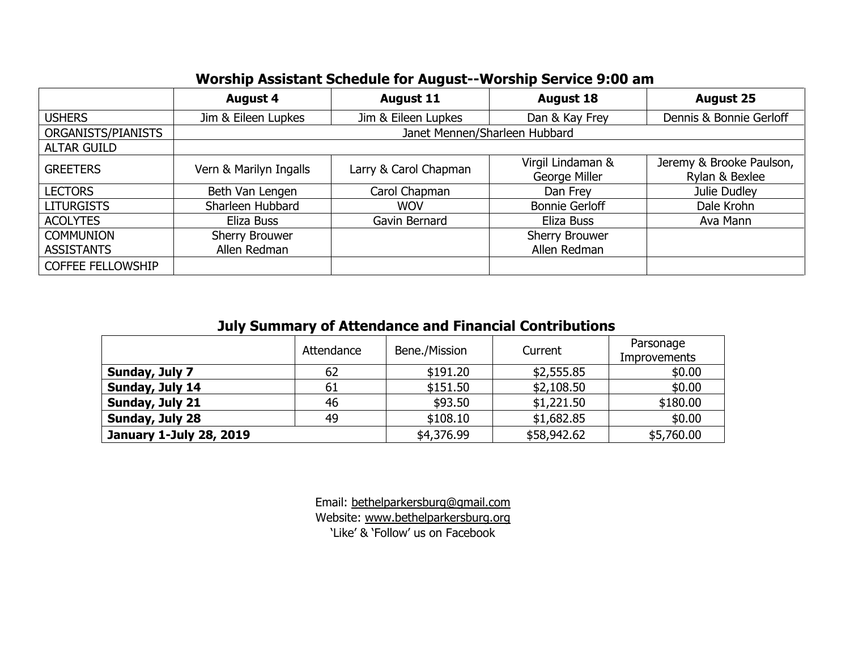| ----------               |                               |                       |                       |                          |  |  |  |  |
|--------------------------|-------------------------------|-----------------------|-----------------------|--------------------------|--|--|--|--|
|                          | <b>August 4</b>               | <b>August 11</b>      | <b>August 18</b>      | <b>August 25</b>         |  |  |  |  |
| <b>USHERS</b>            | Jim & Eileen Lupkes           | Jim & Eileen Lupkes   | Dan & Kay Frey        | Dennis & Bonnie Gerloff  |  |  |  |  |
| ORGANISTS/PIANISTS       | Janet Mennen/Sharleen Hubbard |                       |                       |                          |  |  |  |  |
| <b>ALTAR GUILD</b>       |                               |                       |                       |                          |  |  |  |  |
| <b>GREETERS</b>          | Vern & Marilyn Ingalls        | Larry & Carol Chapman | Virgil Lindaman &     | Jeremy & Brooke Paulson, |  |  |  |  |
|                          |                               |                       | George Miller         | Rylan & Bexlee           |  |  |  |  |
| <b>LECTORS</b>           | Beth Van Lengen               | Carol Chapman         | Dan Frey              | Julie Dudley             |  |  |  |  |
| <b>LITURGISTS</b>        | Sharleen Hubbard              | <b>WOV</b>            | <b>Bonnie Gerloff</b> | Dale Krohn               |  |  |  |  |
| <b>ACOLYTES</b>          | Eliza Buss                    | Gavin Bernard         | Eliza Buss            | Ava Mann                 |  |  |  |  |
| <b>COMMUNION</b>         | Sherry Brouwer                |                       | Sherry Brouwer        |                          |  |  |  |  |
| <b>ASSISTANTS</b>        | Allen Redman                  |                       | Allen Redman          |                          |  |  |  |  |
| <b>COFFEE FELLOWSHIP</b> |                               |                       |                       |                          |  |  |  |  |

## **Worship Assistant Schedule for August--Worship Service 9:00 am**

# **July Summary of Attendance and Financial Contributions**

|                                | Bene./Mission<br>Attendance |            | Current     | Parsonage<br><b>Improvements</b> |  |
|--------------------------------|-----------------------------|------------|-------------|----------------------------------|--|
| Sunday, July 7                 | 62                          | \$191.20   | \$2,555.85  | \$0.00                           |  |
| Sunday, July 14                | 61                          | \$151.50   | \$2,108.50  | \$0.00                           |  |
| Sunday, July 21                | 46                          | \$93.50    | \$1,221.50  | \$180.00                         |  |
| Sunday, July 28                | 49                          | \$108.10   | \$1,682.85  | \$0.00                           |  |
| <b>January 1-July 28, 2019</b> |                             | \$4,376.99 | \$58,942.62 | \$5,760.00                       |  |

Email: bethelparkersburg@gmail.com Website: [www.bethelparkersburg.org](http://www.bethelparkersburg.org/) 'Like' & 'Follow' us on Facebook